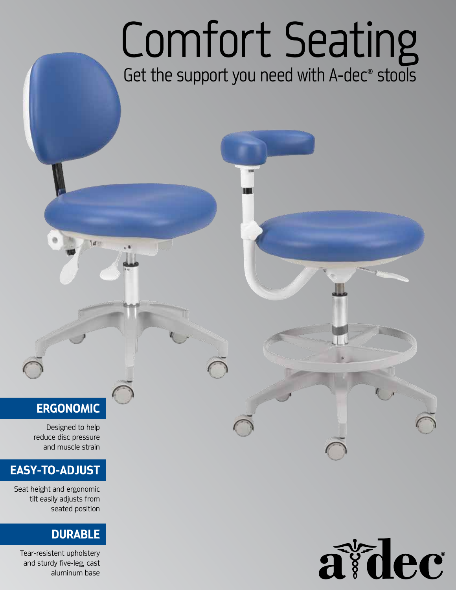# Comfort Seating

## Get the support you need with A-dec<sup>®</sup> stools

### **ERGONOMIC**

Turij

 Designed to help reduce disc pressure and muscle strain

#### **EASY-TO-ADJUST**

Seat height and ergonomic tilt easily adjusts from seated position

#### **DURABLE**

Tear-resistent upholstery and sturdy five-leg, cast aluminum base